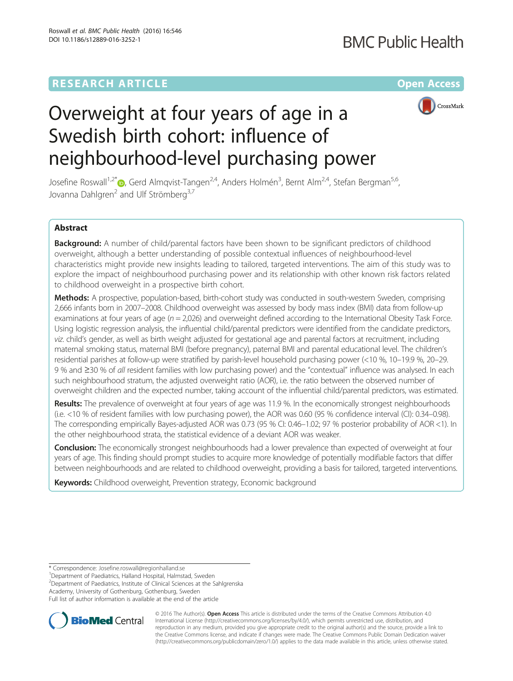# **RESEARCH ARTICLE Example 2014 12:30 The Company Access** (RESEARCH ARTICLE



# Overweight at four years of age in a Swedish birth cohort: influence of neighbourhood-level purchasing power

Josefine Roswall<sup>1,2[\\*](http://orcid.org/0000-0001-7269-648X)</sup>®, Gerd Almqvist-Tangen<sup>2,4</sup>, Anders Holmén<sup>3</sup>, Bernt Alm<sup>2,4</sup>, Stefan Bergman<sup>5,6</sup>, Jovanna Dahlgren<sup>2</sup> and Ulf Strömberg<sup>3,7</sup>

# Abstract

Background: A number of child/parental factors have been shown to be significant predictors of childhood overweight, although a better understanding of possible contextual influences of neighbourhood-level characteristics might provide new insights leading to tailored, targeted interventions. The aim of this study was to explore the impact of neighbourhood purchasing power and its relationship with other known risk factors related to childhood overweight in a prospective birth cohort.

Methods: A prospective, population-based, birth-cohort study was conducted in south-western Sweden, comprising 2,666 infants born in 2007–2008. Childhood overweight was assessed by body mass index (BMI) data from follow-up examinations at four years of age ( $n = 2,026$ ) and overweight defined according to the International Obesity Task Force. Using logistic regression analysis, the influential child/parental predictors were identified from the candidate predictors, viz. child's gender, as well as birth weight adjusted for gestational age and parental factors at recruitment, including maternal smoking status, maternal BMI (before pregnancy), paternal BMI and parental educational level. The children's residential parishes at follow-up were stratified by parish-level household purchasing power (<10 %, 10–19.9 %, 20–29. 9 % and ≥30 % of all resident families with low purchasing power) and the "contextual" influence was analysed. In each such neighbourhood stratum, the adjusted overweight ratio (AOR), i.e. the ratio between the observed number of overweight children and the expected number, taking account of the influential child/parental predictors, was estimated.

Results: The prevalence of overweight at four years of age was 11.9 %. In the economically strongest neighbourhoods (i.e. <10 % of resident families with low purchasing power), the AOR was 0.60 (95 % confidence interval (CI): 0.34–0.98). The corresponding empirically Bayes-adjusted AOR was 0.73 (95 % CI: 0.46–1.02; 97 % posterior probability of AOR <1). In the other neighbourhood strata, the statistical evidence of a deviant AOR was weaker.

**Conclusion:** The economically strongest neighbourhoods had a lower prevalence than expected of overweight at four years of age. This finding should prompt studies to acquire more knowledge of potentially modifiable factors that differ between neighbourhoods and are related to childhood overweight, providing a basis for tailored, targeted interventions.

Keywords: Childhood overweight, Prevention strategy, Economic background

<sup>1</sup>Department of Paediatrics, Halland Hospital, Halmstad, Sweden

<sup>2</sup>Department of Paediatrics, Institute of Clinical Sciences at the Sahlgrenska Academy, University of Gothenburg, Gothenburg, Sweden

Full list of author information is available at the end of the article



© 2016 The Author(s). Open Access This article is distributed under the terms of the Creative Commons Attribution 4.0 International License [\(http://creativecommons.org/licenses/by/4.0/](http://creativecommons.org/licenses/by/4.0/)), which permits unrestricted use, distribution, and reproduction in any medium, provided you give appropriate credit to the original author(s) and the source, provide a link to the Creative Commons license, and indicate if changes were made. The Creative Commons Public Domain Dedication waiver [\(http://creativecommons.org/publicdomain/zero/1.0/](http://creativecommons.org/publicdomain/zero/1.0/)) applies to the data made available in this article, unless otherwise stated.

<sup>\*</sup> Correspondence: [Josefine.roswall@regionhalland.se](mailto:Josefine.roswall@regionhalland.se) <sup>1</sup>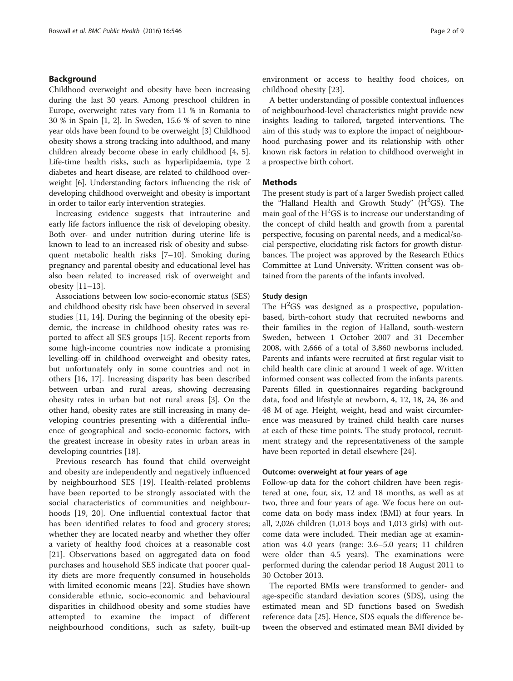#### Background

Childhood overweight and obesity have been increasing during the last 30 years. Among preschool children in Europe, overweight rates vary from 11 % in Romania to 30 % in Spain [[1, 2](#page-7-0)]. In Sweden, 15.6 % of seven to nine year olds have been found to be overweight [\[3](#page-7-0)] Childhood obesity shows a strong tracking into adulthood, and many children already become obese in early childhood [[4](#page-7-0), [5](#page-7-0)]. Life-time health risks, such as hyperlipidaemia, type 2 diabetes and heart disease, are related to childhood overweight [\[6](#page-7-0)]. Understanding factors influencing the risk of developing childhood overweight and obesity is important in order to tailor early intervention strategies.

Increasing evidence suggests that intrauterine and early life factors influence the risk of developing obesity. Both over- and under nutrition during uterine life is known to lead to an increased risk of obesity and subsequent metabolic health risks [\[7](#page-7-0)–[10\]](#page-7-0). Smoking during pregnancy and parental obesity and educational level has also been related to increased risk of overweight and obesity [\[11](#page-7-0)–[13\]](#page-7-0).

Associations between low socio-economic status (SES) and childhood obesity risk have been observed in several studies [\[11, 14](#page-7-0)]. During the beginning of the obesity epidemic, the increase in childhood obesity rates was reported to affect all SES groups [\[15\]](#page-7-0). Recent reports from some high-income countries now indicate a promising levelling-off in childhood overweight and obesity rates, but unfortunately only in some countries and not in others [[16](#page-7-0), [17](#page-7-0)]. Increasing disparity has been described between urban and rural areas, showing decreasing obesity rates in urban but not rural areas [[3\]](#page-7-0). On the other hand, obesity rates are still increasing in many developing countries presenting with a differential influence of geographical and socio-economic factors, with the greatest increase in obesity rates in urban areas in developing countries [[18\]](#page-8-0).

Previous research has found that child overweight and obesity are independently and negatively influenced by neighbourhood SES [\[19](#page-8-0)]. Health-related problems have been reported to be strongly associated with the social characteristics of communities and neighbourhoods [[19, 20\]](#page-8-0). One influential contextual factor that has been identified relates to food and grocery stores; whether they are located nearby and whether they offer a variety of healthy food choices at a reasonable cost [[21\]](#page-8-0). Observations based on aggregated data on food purchases and household SES indicate that poorer quality diets are more frequently consumed in households with limited economic means [[22\]](#page-8-0). Studies have shown considerable ethnic, socio-economic and behavioural disparities in childhood obesity and some studies have attempted to examine the impact of different neighbourhood conditions, such as safety, built-up environment or access to healthy food choices, on childhood obesity [[23\]](#page-8-0).

A better understanding of possible contextual influences of neighbourhood-level characteristics might provide new insights leading to tailored, targeted interventions. The aim of this study was to explore the impact of neighbourhood purchasing power and its relationship with other known risk factors in relation to childhood overweight in a prospective birth cohort.

#### **Methods**

The present study is part of a larger Swedish project called the "Halland Health and Growth Study" ( $H^2$ GS). The main goal of the  $H^2GS$  is to increase our understanding of the concept of child health and growth from a parental perspective, focusing on parental needs, and a medical/social perspective, elucidating risk factors for growth disturbances. The project was approved by the Research Ethics Committee at Lund University. Written consent was obtained from the parents of the infants involved.

#### Study design

The  $H^2$ GS was designed as a prospective, populationbased, birth-cohort study that recruited newborns and their families in the region of Halland, south-western Sweden, between 1 October 2007 and 31 December 2008, with 2,666 of a total of 3,860 newborns included. Parents and infants were recruited at first regular visit to child health care clinic at around 1 week of age. Written informed consent was collected from the infants parents. Parents filled in questionnaires regarding background data, food and lifestyle at newborn, 4, 12, 18, 24, 36 and 48 M of age. Height, weight, head and waist circumference was measured by trained child health care nurses at each of these time points. The study protocol, recruitment strategy and the representativeness of the sample have been reported in detail elsewhere [\[24](#page-8-0)].

#### Outcome: overweight at four years of age

Follow-up data for the cohort children have been registered at one, four, six, 12 and 18 months, as well as at two, three and four years of age. We focus here on outcome data on body mass index (BMI) at four years. In all, 2,026 children (1,013 boys and 1,013 girls) with outcome data were included. Their median age at examination was 4.0 years (range: 3.6–5.0 years; 11 children were older than 4.5 years). The examinations were performed during the calendar period 18 August 2011 to 30 October 2013.

The reported BMIs were transformed to gender- and age-specific standard deviation scores (SDS), using the estimated mean and SD functions based on Swedish reference data [[25](#page-8-0)]. Hence, SDS equals the difference between the observed and estimated mean BMI divided by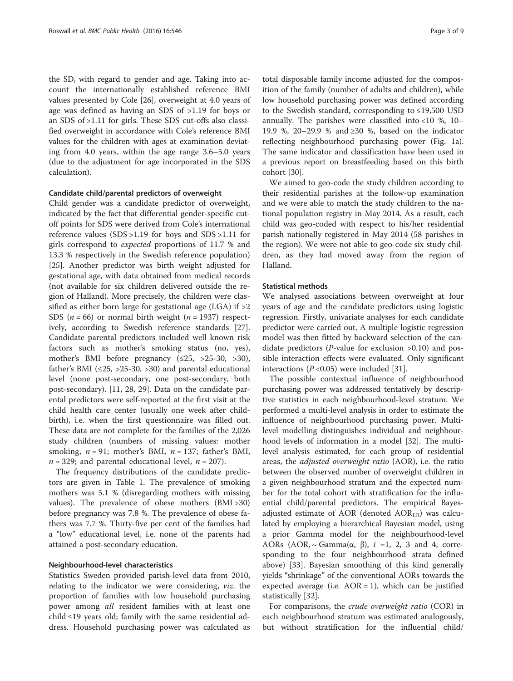the SD, with regard to gender and age. Taking into account the internationally established reference BMI values presented by Cole [[26\]](#page-8-0), overweight at 4.0 years of age was defined as having an SDS of >1.19 for boys or an SDS of >1.11 for girls. These SDS cut-offs also classified overweight in accordance with Cole's reference BMI values for the children with ages at examination deviating from 4.0 years, within the age range 3.6–5.0 years (due to the adjustment for age incorporated in the SDS calculation).

#### Candidate child/parental predictors of overweight

Child gender was a candidate predictor of overweight, indicated by the fact that differential gender-specific cutoff points for SDS were derived from Cole's international reference values (SDS >1.19 for boys and SDS >1.11 for girls correspond to expected proportions of 11.7 % and 13.3 % respectively in the Swedish reference population) [[25\]](#page-8-0). Another predictor was birth weight adjusted for gestational age, with data obtained from medical records (not available for six children delivered outside the region of Halland). More precisely, the children were classified as either born large for gestational age (LGA) if >2 SDS ( $n = 66$ ) or normal birth weight ( $n = 1937$ ) respectively, according to Swedish reference standards [\[27](#page-8-0)]. Candidate parental predictors included well known risk factors such as mother's smoking status (no, yes), mother's BMI before pregnancy  $(\leq 25, >25-30, >30)$ , father's BMI ( $\leq$ 25,  $>$ 25-30,  $>$ 30) and parental educational level (none post-secondary, one post-secondary, both post-secondary). [\[11,](#page-7-0) [28](#page-8-0), [29](#page-8-0)]. Data on the candidate parental predictors were self-reported at the first visit at the child health care center (usually one week after childbirth), i.e. when the first questionnaire was filled out. These data are not complete for the families of the 2,026 study children (numbers of missing values: mother smoking,  $n = 91$ ; mother's BMI,  $n = 137$ ; father's BMI,  $n = 329$ ; and parental educational level,  $n = 207$ ).

The frequency distributions of the candidate predictors are given in Table [1](#page-3-0). The prevalence of smoking mothers was 5.1 % (disregarding mothers with missing values). The prevalence of obese mothers (BMI >30) before pregnancy was 7.8 %. The prevalence of obese fathers was 7.7 %. Thirty-five per cent of the families had a "low" educational level, i.e. none of the parents had attained a post-secondary education.

#### Neighbourhood-level characteristics

Statistics Sweden provided parish-level data from 2010, relating to the indicator we were considering, viz. the proportion of families with low household purchasing power among *all* resident families with at least one child ≤19 years old; family with the same residential address. Household purchasing power was calculated as

total disposable family income adjusted for the composition of the family (number of adults and children), while low household purchasing power was defined according to the Swedish standard, corresponding to ≤19,500 USD annually. The parishes were classified into <10 %, 10– 19.9 %, 20–29.9 % and ≥30 %, based on the indicator reflecting neighbourhood purchasing power (Fig. [1a](#page-4-0)). The same indicator and classification have been used in a previous report on breastfeeding based on this birth cohort [[30](#page-8-0)].

We aimed to geo-code the study children according to their residential parishes at the follow-up examination and we were able to match the study children to the national population registry in May 2014. As a result, each child was geo-coded with respect to his/her residential parish nationally registered in May 2014 (58 parishes in the region). We were not able to geo-code six study children, as they had moved away from the region of Halland.

#### Statistical methods

We analysed associations between overweight at four years of age and the candidate predictors using logistic regression. Firstly, univariate analyses for each candidate predictor were carried out. A multiple logistic regression model was then fitted by backward selection of the candidate predictors ( $P$ -value for exclusion >0.10) and possible interaction effects were evaluated. Only significant interactions ( $P < 0.05$ ) were included [\[31\]](#page-8-0).

The possible contextual influence of neighbourhood purchasing power was addressed tentatively by descriptive statistics in each neighbourhood-level stratum. We performed a multi-level analysis in order to estimate the influence of neighbourhood purchasing power. Multilevel modelling distinguishes individual and neighbourhood levels of information in a model [[32\]](#page-8-0). The multilevel analysis estimated, for each group of residential areas, the adjusted overweight ratio (AOR), i.e. the ratio between the observed number of overweight children in a given neighbourhood stratum and the expected number for the total cohort with stratification for the influential child/parental predictors. The empirical Bayesadjusted estimate of AOR (denoted  $AOR_{EB}$ ) was calculated by employing a hierarchical Bayesian model, using a prior Gamma model for the neighbourhood-level AORs  $(AOR_i \sim Gamma(\alpha, \beta), i = 1, 2, 3 \text{ and } 4; \text{ corre-}$ sponding to the four neighbourhood strata defined above) [\[33](#page-8-0)]. Bayesian smoothing of this kind generally yields "shrinkage" of the conventional AORs towards the expected average (i.e.  $AOR = 1$ ), which can be justified statistically [[32\]](#page-8-0).

For comparisons, the crude overweight ratio (COR) in each neighbourhood stratum was estimated analogously, but without stratification for the influential child/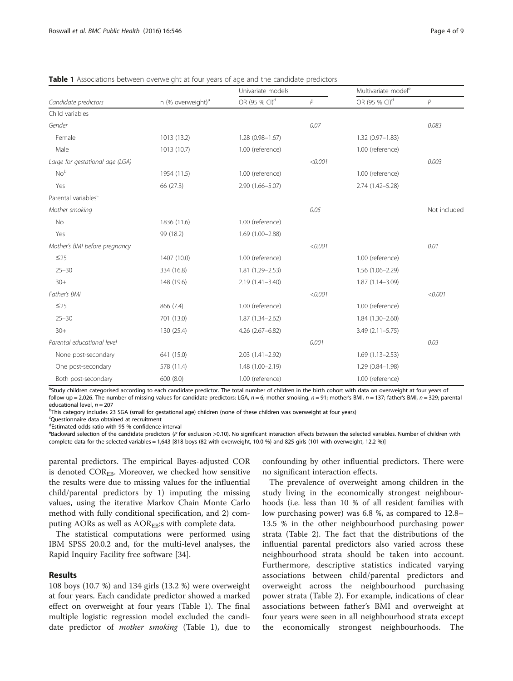|                                 |                               | Univariate models         |                | Multivariate model <sup>e</sup> |                |
|---------------------------------|-------------------------------|---------------------------|----------------|---------------------------------|----------------|
| Candidate predictors            | n (% overweight) <sup>a</sup> | OR (95 % CI) <sup>d</sup> | $\overline{P}$ | OR (95 % CI) <sup>d</sup>       | $\overline{P}$ |
| Child variables                 |                               |                           |                |                                 |                |
| Gender                          |                               |                           | 0.07           |                                 | 0.083          |
| Female                          | 1013 (13.2)                   | $1.28(0.98 - 1.67)$       |                | $1.32(0.97 - 1.83)$             |                |
| Male                            | 1013 (10.7)                   | 1.00 (reference)          |                | 1.00 (reference)                |                |
| Large for gestational age (LGA) |                               |                           | < 0.001        |                                 | 0.003          |
| No <sup>b</sup>                 | 1954 (11.5)                   | 1.00 (reference)          |                | 1.00 (reference)                |                |
| Yes                             | 66 (27.3)                     | 2.90 (1.66-5.07)          |                | 2.74 (1.42-5.28)                |                |
| Parental variables <sup>c</sup> |                               |                           |                |                                 |                |
| Mother smoking                  |                               |                           | 0.05           |                                 | Not included   |
| No                              | 1836 (11.6)                   | 1.00 (reference)          |                |                                 |                |
| Yes                             | 99 (18.2)                     | 1.69 (1.00-2.88)          |                |                                 |                |
| Mother's BMI before pregnancy   |                               |                           | < 0.001        |                                 | 0.01           |
| $\leq$ 25                       | 1407 (10.0)                   | 1.00 (reference)          |                | 1.00 (reference)                |                |
| $25 - 30$                       | 334 (16.8)                    | $1.81(1.29 - 2.53)$       |                | 1.56 (1.06-2.29)                |                |
| $30+$                           | 148 (19.6)                    | $2.19(1.41 - 3.40)$       |                | 1.87 (1.14-3.09)                |                |
| Father's BMI                    |                               |                           | < 0.001        |                                 | < 0.001        |
| $\leq$ 25                       | 866 (7.4)                     | 1.00 (reference)          |                | 1.00 (reference)                |                |
| $25 - 30$                       | 701 (13.0)                    | $1.87(1.34 - 2.62)$       |                | $1.84(1.30 - 2.60)$             |                |
| $30+$                           | 130 (25.4)                    | 4.26 (2.67-6.82)          |                | $3.49(2.11 - 5.75)$             |                |
| Parental educational level      |                               |                           | 0.001          |                                 | 0.03           |
| None post-secondary             | 641 (15.0)                    | $2.03(1.41 - 2.92)$       |                | $1.69(1.13 - 2.53)$             |                |
| One post-secondary              | 578 (11.4)                    | 1.48 (1.00-2.19)          |                | 1.29 (0.84-1.98)                |                |
| Both post-secondary             | 600 (8.0)                     | 1.00 (reference)          |                | 1.00 (reference)                |                |

<span id="page-3-0"></span>Table 1 Associations between overweight at four years of age and the candidate predictors

<sup>a</sup>Study children categorised according to each candidate predictor. The total number of children in the birth cohort with data on overweight at four years of follow-up = 2,026. The number of missing values for candidate predictors: LGA,  $n = 6$ ; mother smoking,  $n = 91$ ; mother's BMI,  $n = 137$ ; father's BMI,  $n = 329$ ; parental educational level,  $n = 207$ 

 $^{\rm b}$ This category includes 23 SGA (small for gestational age) children (none of these children was overweight at four years)

c Questionnaire data obtained at recruitment

d Estimated odds ratio with 95 % confidence interval

eBackward selection of the candidate predictors (P for exclusion >0.10). No significant interaction effects between the selected variables. Number of children with complete data for the selected variables = 1,643 [818 boys (82 with overweight, 10.0 %) and 825 girls (101 with overweight, 12.2 %)]

parental predictors. The empirical Bayes-adjusted COR is denoted  $COR_{EB}$ . Moreover, we checked how sensitive the results were due to missing values for the influential child/parental predictors by 1) imputing the missing values, using the iterative Markov Chain Monte Carlo method with fully conditional specification, and 2) computing AORs as well as  $AOR_{EB}$ :s with complete data.

The statistical computations were performed using IBM SPSS 20.0.2 and, for the multi-level analyses, the Rapid Inquiry Facility free software [\[34](#page-8-0)].

#### Results

108 boys (10.7 %) and 134 girls (13.2 %) were overweight at four years. Each candidate predictor showed a marked effect on overweight at four years (Table 1). The final multiple logistic regression model excluded the candidate predictor of *mother smoking* (Table 1), due to

confounding by other influential predictors. There were no significant interaction effects.

The prevalence of overweight among children in the study living in the economically strongest neighbourhoods (i.e. less than 10 % of all resident families with low purchasing power) was 6.8 %, as compared to 12.8– 13.5 % in the other neighbourhood purchasing power strata (Table [2](#page-5-0)). The fact that the distributions of the influential parental predictors also varied across these neighbourhood strata should be taken into account. Furthermore, descriptive statistics indicated varying associations between child/parental predictors and overweight across the neighbourhood purchasing power strata (Table [2\)](#page-5-0). For example, indications of clear associations between father's BMI and overweight at four years were seen in all neighbourhood strata except the economically strongest neighbourhoods. The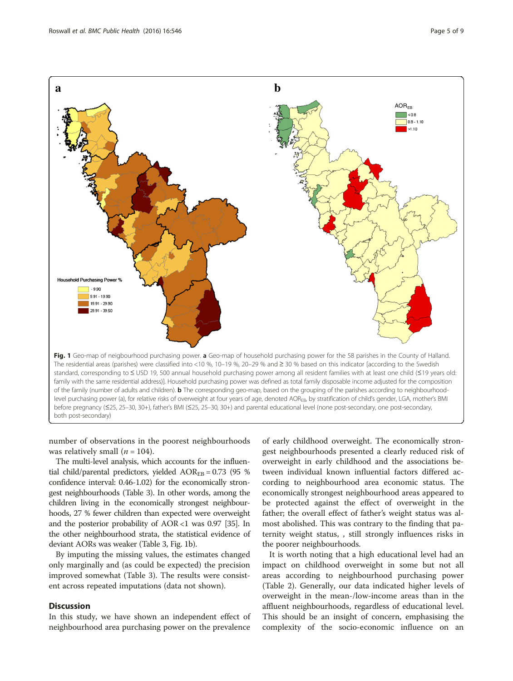<span id="page-4-0"></span>

number of observations in the poorest neighbourhoods was relatively small  $(n = 104)$ .

The multi-level analysis, which accounts for the influential child/parental predictors, yielded  $AOR_{ER} = 0.73$  (95 %) confidence interval: 0.46-1.02) for the economically strongest neighbourhoods (Table [3\)](#page-6-0). In other words, among the children living in the economically strongest neighbourhoods, 27 % fewer children than expected were overweight and the posterior probability of AOR <1 was 0.97 [\[35](#page-8-0)]. In the other neighbourhood strata, the statistical evidence of deviant AORs was weaker (Table [3](#page-6-0), Fig. 1b).

By imputing the missing values, the estimates changed only marginally and (as could be expected) the precision improved somewhat (Table [3](#page-6-0)). The results were consistent across repeated imputations (data not shown).

### **Discussion**

In this study, we have shown an independent effect of neighbourhood area purchasing power on the prevalence

of early childhood overweight. The economically strongest neighbourhoods presented a clearly reduced risk of overweight in early childhood and the associations between individual known influential factors differed according to neighbourhood area economic status. The economically strongest neighbourhood areas appeared to be protected against the effect of overweight in the father; the overall effect of father's weight status was almost abolished. This was contrary to the finding that paternity weight status, , still strongly influences risks in the poorer neighbourhoods.

It is worth noting that a high educational level had an impact on childhood overweight in some but not all areas according to neighbourhood purchasing power (Table [2\)](#page-5-0). Generally, our data indicated higher levels of overweight in the mean-/low-income areas than in the affluent neighbourhoods, regardless of educational level. This should be an insight of concern, emphasising the complexity of the socio-economic influence on an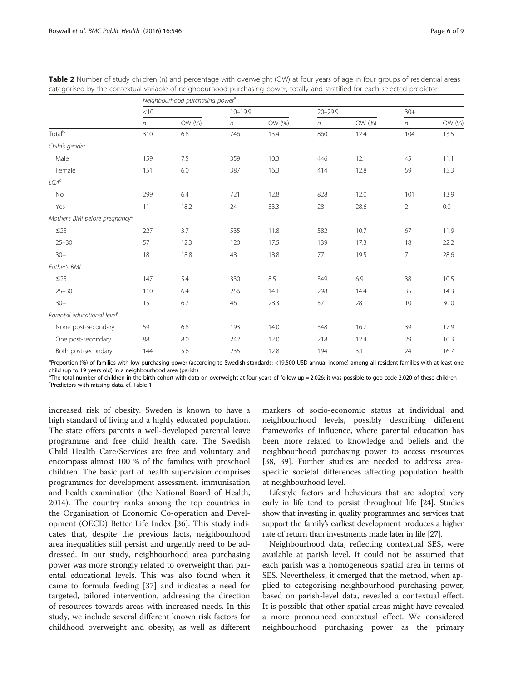|                                            | Neighbourhood purchasing power <sup>a</sup> |         |            |             |            |             |                |         |  |
|--------------------------------------------|---------------------------------------------|---------|------------|-------------|------------|-------------|----------------|---------|--|
|                                            | $<$ 10                                      |         |            | $10 - 19.9$ |            | $20 - 29.9$ |                | $30+$   |  |
|                                            | n                                           | OW (%)  | $\sqrt{n}$ | OW (%)      | $\sqrt{n}$ | OW (%)      | n              | OW (%)  |  |
| Total <sup>b</sup>                         | 310                                         | 6.8     | 746        | 13.4        | 860        | 12.4        | 104            | 13.5    |  |
| Child's gender                             |                                             |         |            |             |            |             |                |         |  |
| Male                                       | 159                                         | 7.5     | 359        | 10.3        | 446        | 12.1        | 45             | 11.1    |  |
| Female                                     | 151                                         | $6.0\,$ | 387        | 16.3        | 414        | 12.8        | 59             | 15.3    |  |
| $LGA^c$                                    |                                             |         |            |             |            |             |                |         |  |
| <b>No</b>                                  | 299                                         | 6.4     | 721        | 12.8        | 828        | 12.0        | 101            | 13.9    |  |
| Yes                                        | 11                                          | 18.2    | 24         | 33.3        | 28         | 28.6        | $\overline{2}$ | $0.0\,$ |  |
| Mother's BMI before pregnancy <sup>c</sup> |                                             |         |            |             |            |             |                |         |  |
| $\leq$ 25                                  | 227                                         | 3.7     | 535        | 11.8        | 582        | 10.7        | 67             | 11.9    |  |
| $25 - 30$                                  | 57                                          | 12.3    | 120        | 17.5        | 139        | 17.3        | 18             | 22.2    |  |
| $30+$                                      | 18                                          | 18.8    | 48         | 18.8        | 77         | 19.5        | $\overline{7}$ | 28.6    |  |
| Father's BMI <sup>c</sup>                  |                                             |         |            |             |            |             |                |         |  |
| $\leq$ 25                                  | 147                                         | 5.4     | 330        | 8.5         | 349        | 6.9         |                | 10.5    |  |
| $25 - 30$                                  | 110                                         | 6.4     | 256        | 14.1        | 298        | 14.4        | 35             | 14.3    |  |
| $30+$                                      | 15                                          | 6.7     | 46         | 28.3        | 57         | 28.1        | 10             | 30.0    |  |
| Parental educational level <sup>c</sup>    |                                             |         |            |             |            |             |                |         |  |
| None post-secondary                        | 59                                          | 6.8     | 193        | 14.0        | 348        | 16.7        | 39             | 17.9    |  |
| One post-secondary                         | 88                                          | 8.0     | 242        | 12.0        | 218        | 12.4        | 29             | 10.3    |  |
| Both post-secondary                        | 144                                         | 5.6     | 235        | 12.8        | 194        | 3.1         | 24             | 16.7    |  |

<span id="page-5-0"></span>Table 2 Number of study children (n) and percentage with overweight (OW) at four years of age in four groups of residential areas categorised by the contextual variable of neighbourhood purchasing power, totally and stratified for each selected predictor

<sup>a</sup>Proportion (%) of families with low purchasing power (according to Swedish standards; <19,500 USD annual income) among all resident families with at least one child (up to 19 years old) in a neighbourhood area (parish)

bThe total number of children in the birth cohort with data on overweight at four years of follow-up = 2,026; it was possible to geo-code 2,020 of these children<br><sup>C</sup>Predictors with missing data of Table 1 Predictors with missing data, cf. Table [1](#page-3-0)

increased risk of obesity. Sweden is known to have a high standard of living and a highly educated population. The state offers parents a well-developed parental leave programme and free child health care. The Swedish Child Health Care/Servíces are free and voluntary and encompass almost 100 % of the families with preschool children. The basic part of health supervision comprises programmes for development assessment, immunisation and health examination (the National Board of Health, 2014). The country ranks among the top countries in the Organisation of Economic Co-operation and Development (OECD) Better Life Index [[36](#page-8-0)]. This study indicates that, despite the previous facts, neighbourhood area inequalities still persist and urgently need to be addressed. In our study, neighbourhood area purchasing power was more strongly related to overweight than parental educational levels. This was also found when it came to formula feeding [[37\]](#page-8-0) and indicates a need for targeted, tailored intervention, addressing the direction of resources towards areas with increased needs. In this study, we include several different known risk factors for childhood overweight and obesity, as well as different markers of socio-economic status at individual and neighbourhood levels, possibly describing different frameworks of influence, where parental education has been more related to knowledge and beliefs and the neighbourhood purchasing power to access resources [[38, 39](#page-8-0)]. Further studies are needed to address areaspecific societal differences affecting population health at neighbourhood level.

Lifestyle factors and behaviours that are adopted very early in life tend to persist throughout life [\[24\]](#page-8-0). Studies show that investing in quality programmes and services that support the family's earliest development produces a higher rate of return than investments made later in life [\[27\]](#page-8-0).

Neighbourhood data, reflecting contextual SES, were available at parish level. It could not be assumed that each parish was a homogeneous spatial area in terms of SES. Nevertheless, it emerged that the method, when applied to categorising neighbourhood purchasing power, based on parish-level data, revealed a contextual effect. It is possible that other spatial areas might have revealed a more pronounced contextual effect. We considered neighbourhood purchasing power as the primary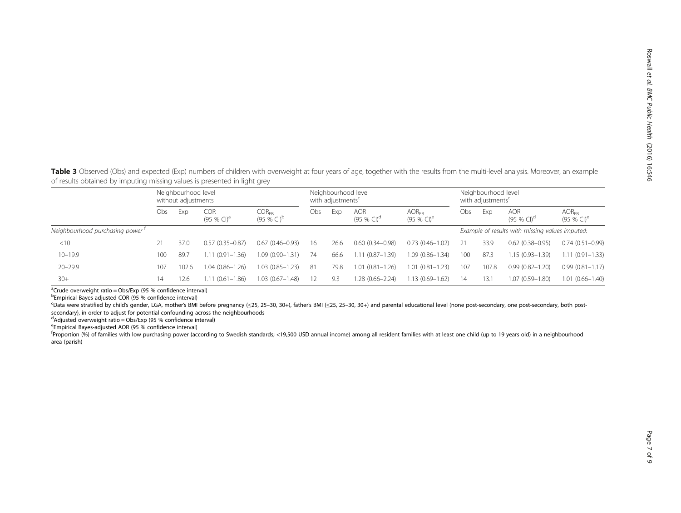<span id="page-6-0"></span>Table 3 Observed (Obs) and expected (Exp) numbers of children with overweight at four years of age, together with the results from the multi-level analysis. Moreover, an example of results obtained by imputing missing values is presented in light grey

|                                | Neighbourhood level<br>without adjustments |       |                                       | Neighbourhood level<br>with adjustments <sup>c</sup> |     |      |                                       | Neighbourhood level<br>with adjustments <sup>c</sup> |                                                 |       |                                       |                                       |  |
|--------------------------------|--------------------------------------------|-------|---------------------------------------|------------------------------------------------------|-----|------|---------------------------------------|------------------------------------------------------|-------------------------------------------------|-------|---------------------------------------|---------------------------------------|--|
|                                | Obs                                        | Exp   | <b>COR</b><br>$(95%$ CI) <sup>a</sup> | COR <sub>FR</sub><br>$(95%$ CI) <sup>b</sup>         | Obs | Exp  | <b>AOR</b><br>$(95%$ CI) <sup>d</sup> | $AOR_{FR}$<br>$(95%$ CI) <sup>e</sup>                | Obs                                             | EXD   | <b>AOR</b><br>$(95%$ CI) <sup>d</sup> | $AOR_{FR}$<br>$(95%$ CI) <sup>e</sup> |  |
| Neighbourhood purchasing power |                                            |       |                                       |                                                      |     |      |                                       |                                                      | Example of results with missing values imputed: |       |                                       |                                       |  |
| $<$ 10                         | 21                                         | 37.0  | $0.57(0.35 - 0.87)$                   | $0.67(0.46 - 0.93)$                                  | 16  | 26.6 | $0.60(0.34 - 0.98)$                   | $0.73(0.46 - 1.02)$                                  | 21                                              | 33.9  | $0.62(0.38 - 0.95)$                   | $0.74(0.51-0.99)$                     |  |
| $10 - 19.9$                    | 100                                        | 89.7  | $1.11(0.91 - 1.36)$                   | $1.09(0.90 - 1.31)$                                  | 74  | 66.6 | $1.11(0.87 - 1.39)$                   | 1.09 (0.86-1.34)                                     | 100                                             | 87.3  | 1.15 (0.93–1.39)                      | $1.11(0.91 - 1.33)$                   |  |
| $20 - 29.9$                    | 107                                        | 102.6 | 1.04 (0.86-1.26)                      | $1.03(0.85 - 1.23)$                                  | -81 | 79.8 | $1.01(0.81 - 1.26)$                   | $1.01(0.81 - 1.23)$                                  | 107                                             | 107.8 | $0.99(0.82 - 1.20)$                   | $0.99(0.81 - 1.17)$                   |  |
| $30+$                          | 14                                         | 12.6  | $1.11(0.61 - 1.86)$                   | $1.03(0.67 - 1.48)$                                  | 12  | 9.3  | $.28(0.66 - 2.24)$                    | $1.13(0.69 - 1.62)$                                  | 14                                              | 13.1  | $1.07(0.59 - 1.80)$                   | $1.01(0.66 - 1.40)$                   |  |

<sup>a</sup>Crude overweight ratio = Obs/Exp (95 % confidence interval)

b Empirical Bayes-adjusted COR (95 % confidence interval)

c Data were stratified by child's gender, LGA, mother's BMI before pregnancy (≤25, 25–30, 30+), father's BMI (≤25, 25–30, 30+) and parental educational level (none post-secondary, one post-secondary, both postsecondary), in order to adjust for potential confounding across the neighbourhoods

<sup>d</sup>Adjusted overweight ratio = Obs/Exp (95 % confidence interval)

e Empirical Bayes-adjusted AOR (95 % confidence interval)

f Proportion (%) of families with low purchasing power (according to Swedish standards; <19,500 USD annual income) among all resident families with at least one child (up to 19 years old) in a neighbourhood area (parish)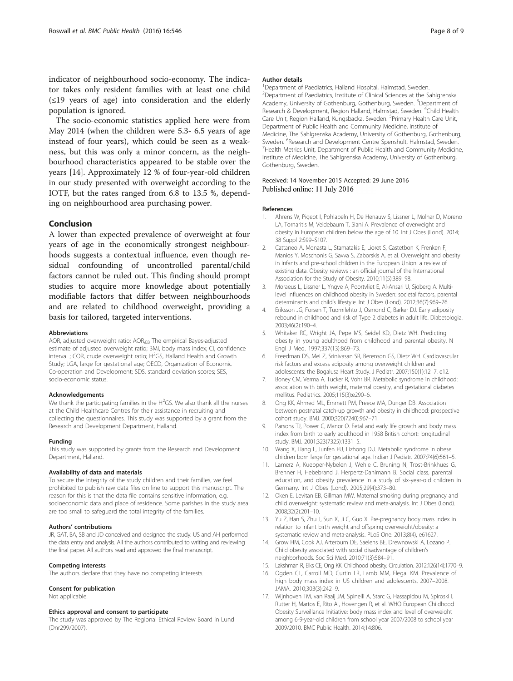<span id="page-7-0"></span>indicator of neighbourhood socio-economy. The indicator takes only resident families with at least one child  $(\leq 19$  years of age) into consideration and the elderly population is ignored.

The socio-economic statistics applied here were from May 2014 (when the children were 5.3- 6.5 years of age instead of four years), which could be seen as a weakness, but this was only a minor concern, as the neighbourhood characteristics appeared to be stable over the years [14]. Approximately 12 % of four-year-old children in our study presented with overweight according to the IOTF, but the rates ranged from 6.8 to 13.5 %, depending on neighbourhood area purchasing power.

#### Conclusion

A lower than expected prevalence of overweight at four years of age in the economically strongest neighbourhoods suggests a contextual influence, even though residual confounding of uncontrolled parental/child factors cannot be ruled out. This finding should prompt studies to acquire more knowledge about potentially modifiable factors that differ between neighbourhoods and are related to childhood overweight, providing a basis for tailored, targeted interventions.

#### Abbreviations

AOR, adjusted overweight ratio; AOR,<sub>EB</sub> The empirical Bayes-adjusted estimate of adjusted overweight ratio; BMI, body mass index; CI, confidence interval ; COR, crude overweight ratio; H<sup>2</sup>GS, Halland Health and Growth Study; LGA, large for gestational age; OECD, Organization of Economic Co-operation and Development; SDS, standard deviation scores; SES, socio-economic status.

#### Acknowledgements

We thank the participating families in the  $H^2$ GS. We also thank all the nurses at the Child Healthcare Centres for their assistance in recruiting and collecting the questionnaires. This study was supported by a grant from the Research and Development Department, Halland.

#### Funding

This study was supported by grants from the Research and Development Department, Halland.

#### Availability of data and materials

To secure the integrity of the study children and their families, we feel prohibited to publish raw data files on line to support this manuscript. The reason for this is that the data file contains sensitive information, e.g. socioeconomic data and place of residence. Some parishes in the study area are too small to safeguard the total integrity of the families.

#### Authors' contributions

JR, GAT, BA, SB and JD conceived and designed the study. US and AH performed the data entry and analysis. All the authors contributed to writing and reviewing the final paper. All authors read and approved the final manuscript.

#### Competing interests

The authors declare that they have no competing interests.

#### Consent for publication

Not applicable.

#### Ethics approval and consent to participate

The study was approved by The Regional Ethical Review Board in Lund (Dnr299/2007).

#### Author details

<sup>1</sup> Department of Paediatrics, Halland Hospital, Halmstad, Sweden. <sup>2</sup>Department of Paediatrics, Institute of Clinical Sciences at the Sahlgrenska Academy, University of Gothenburg, Gothenburg, Sweden. <sup>3</sup>Department of Research & Development, Region Halland, Halmstad, Sweden. <sup>4</sup>Child Health Care Unit, Region Halland, Kungsbacka, Sweden. <sup>5</sup>Primary Health Care Unit, Department of Public Health and Community Medicine, Institute of Medicine, The Sahlgrenska Academy, University of Gothenburg, Gothenburg, Sweden. <sup>6</sup> Research and Development Centre Spenshult, Halmstad, Sweden.<br><sup>7</sup> Health Metrics Unit, Department of Public Health and Community Medicin <sup>7</sup> Health Metrics Unit, Department of Public Health and Community Medicine, Institute of Medicine, The Sahlgrenska Academy, University of Gothenburg, Gothenburg, Sweden.

#### Received: 14 November 2015 Accepted: 29 June 2016 Published online: 11 July 2016

#### References

- 1. Ahrens W, Pigeot I, Pohlabeln H, De Henauw S, Lissner L, Molnar D, Moreno LA, Tornaritis M, Veidebaum T, Siani A. Prevalence of overweight and obesity in European children below the age of 10. Int J Obes (Lond). 2014; 38 Suppl 2:S99–S107.
- 2. Cattaneo A, Monasta L, Stamatakis E, Lioret S, Castetbon K, Frenken F, Manios Y, Moschonis G, Savva S, Zaborskis A, et al. Overweight and obesity in infants and pre-school children in the European Union: a review of existing data. Obesity reviews : an official journal of the International Association for the Study of Obesity. 2010;11(5):389–98.
- 3. Moraeus L, Lissner L, Yngve A, Poortvliet E, Al-Ansari U, Sjoberg A. Multilevel influences on childhood obesity in Sweden: societal factors, parental determinants and child's lifestyle. Int J Obes (Lond). 2012;36(7):969–76.
- 4. Eriksson JG, Forsen T, Tuomilehto J, Osmond C, Barker DJ. Early adiposity rebound in childhood and risk of Type 2 diabetes in adult life. Diabetologia. 2003;46(2):190–4.
- 5. Whitaker RC, Wright JA, Pepe MS, Seidel KD, Dietz WH. Predicting obesity in young adulthood from childhood and parental obesity. N Engl J Med. 1997;337(13):869–73.
- 6. Freedman DS, Mei Z, Srinivasan SR, Berenson GS, Dietz WH. Cardiovascular risk factors and excess adiposity among overweight children and adolescents: the Bogalusa Heart Study. J Pediatr. 2007;150(1):12–7. e12.
- 7. Boney CM, Verma A, Tucker R, Vohr BR. Metabolic syndrome in childhood: association with birth weight, maternal obesity, and gestational diabetes mellitus. Pediatrics. 2005;115(3):e290–6.
- 8. Ong KK, Ahmed ML, Emmett PM, Preece MA, Dunger DB. Association between postnatal catch-up growth and obesity in childhood: prospective cohort study. BMJ. 2000;320(7240):967–71.
- 9. Parsons TJ, Power C, Manor O. Fetal and early life growth and body mass index from birth to early adulthood in 1958 British cohort: longitudinal study. BMJ. 2001;323(7325):1331–5.
- 10. Wang X, Liang L, Junfen FU, Lizhong DU. Metabolic syndrome in obese children born large for gestational age. Indian J Pediatr. 2007;74(6):561–5.
- 11. Lamerz A, Kuepper-Nybelen J, Wehle C, Bruning N, Trost-Brinkhues G, Brenner H, Hebebrand J, Herpertz-Dahlmann B. Social class, parental education, and obesity prevalence in a study of six-year-old children in Germany. Int J Obes (Lond). 2005;29(4):373–80.
- 12. Oken E, Levitan EB, Gillman MW. Maternal smoking during pregnancy and child overweight: systematic review and meta-analysis. Int J Obes (Lond). 2008;32(2):201–10.
- 13. Yu Z, Han S, Zhu J, Sun X, Ji C, Guo X. Pre-pregnancy body mass index in relation to infant birth weight and offspring overweight/obesity: a systematic review and meta-analysis. PLoS One. 2013;8(4), e61627.
- 14. Grow HM, Cook AJ, Arterburn DE, Saelens BE, Drewnowski A, Lozano P. Child obesity associated with social disadvantage of children's neighborhoods. Soc Sci Med. 2010;71(3):584–91.
- 15. Lakshman R, Elks CE, Ong KK. Childhood obesity. Circulation. 2012;126(14):1770–9.
- 16. Ogden CL, Carroll MD, Curtin LR, Lamb MM, Flegal KM. Prevalence of high body mass index in US children and adolescents, 2007–2008. JAMA. 2010;303(3):242–9.
- 17. Wijnhoven TM, van Raaij JM, Spinelli A, Starc G, Hassapidou M, Spiroski I, Rutter H, Martos E, Rito AI, Hovengen R, et al. WHO European Childhood Obesity Surveillance Initiative: body mass index and level of overweight among 6-9-year-old children from school year 2007/2008 to school year 2009/2010. BMC Public Health. 2014;14:806.